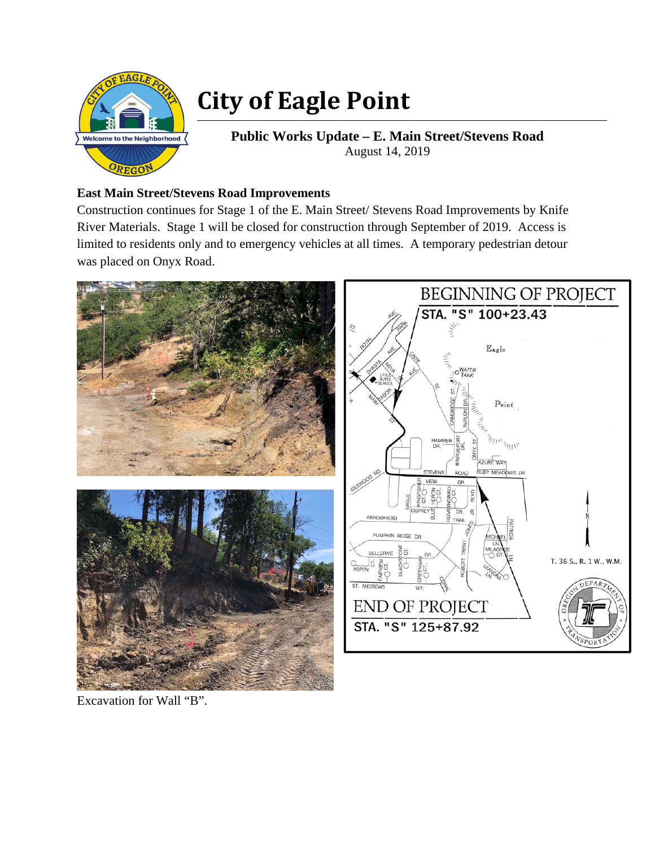

## **City of Eagle Point**

**Public Works Update – E. Main Street/Stevens Road**  August 14, 2019

## **East Main Street/Stevens Road Improvements**

Construction continues for Stage 1 of the E. Main Street/ Stevens Road Improvements by Knife River Materials. Stage 1 will be closed for construction through September of 2019. Access is limited to residents only and to emergency vehicles at all times. A temporary pedestrian detour was placed on Onyx Road.



Excavation for Wall "B".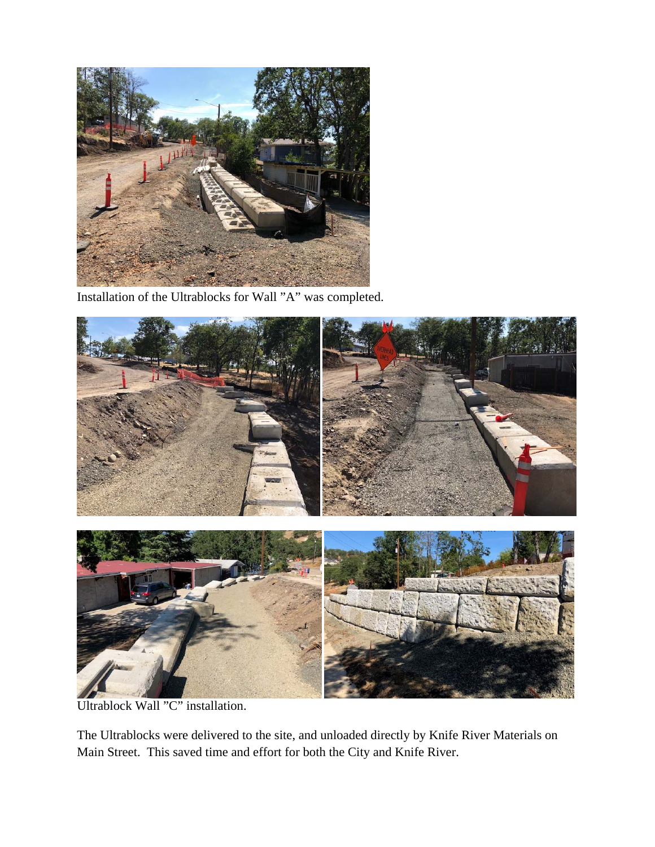

Installation of the Ultrablocks for Wall "A" was completed.



Ultrablock Wall "C" installation.

The Ultrablocks were delivered to the site, and unloaded directly by Knife River Materials on Main Street. This saved time and effort for both the City and Knife River.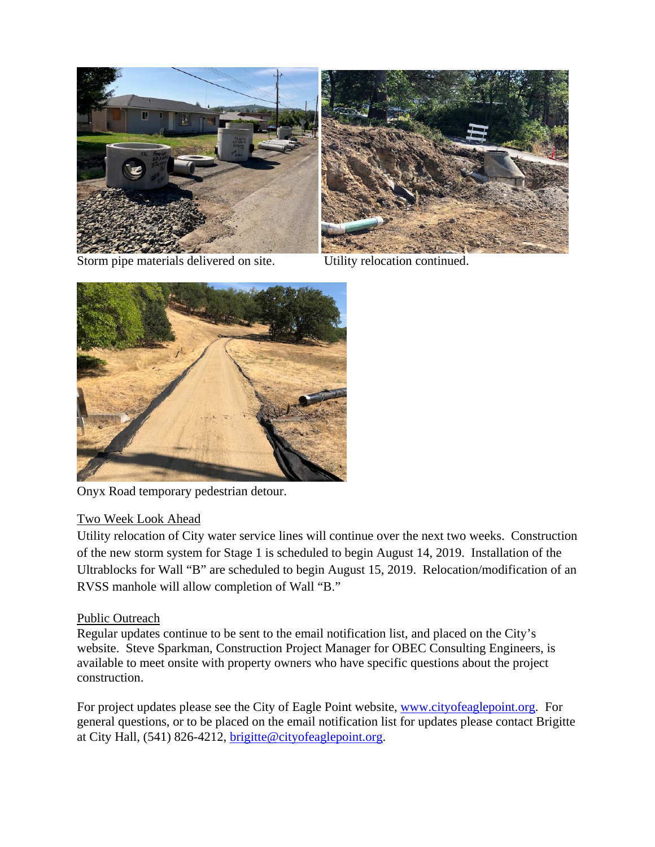

Storm pipe materials delivered on site. Utility relocation continued.



Onyx Road temporary pedestrian detour.

## Two Week Look Ahead

Utility relocation of City water service lines will continue over the next two weeks. Construction of the new storm system for Stage 1 is scheduled to begin August 14, 2019. Installation of the Ultrablocks for Wall "B" are scheduled to begin August 15, 2019. Relocation/modification of an RVSS manhole will allow completion of Wall "B."

## Public Outreach

Regular updates continue to be sent to the email notification list, and placed on the City's website. Steve Sparkman, Construction Project Manager for OBEC Consulting Engineers, is available to meet onsite with property owners who have specific questions about the project construction.

For project updates please see the City of Eagle Point website, www.cityofeaglepoint.org. For general questions, or to be placed on the email notification list for updates please contact Brigitte at City Hall, (541) 826-4212, brigitte@cityofeaglepoint.org.